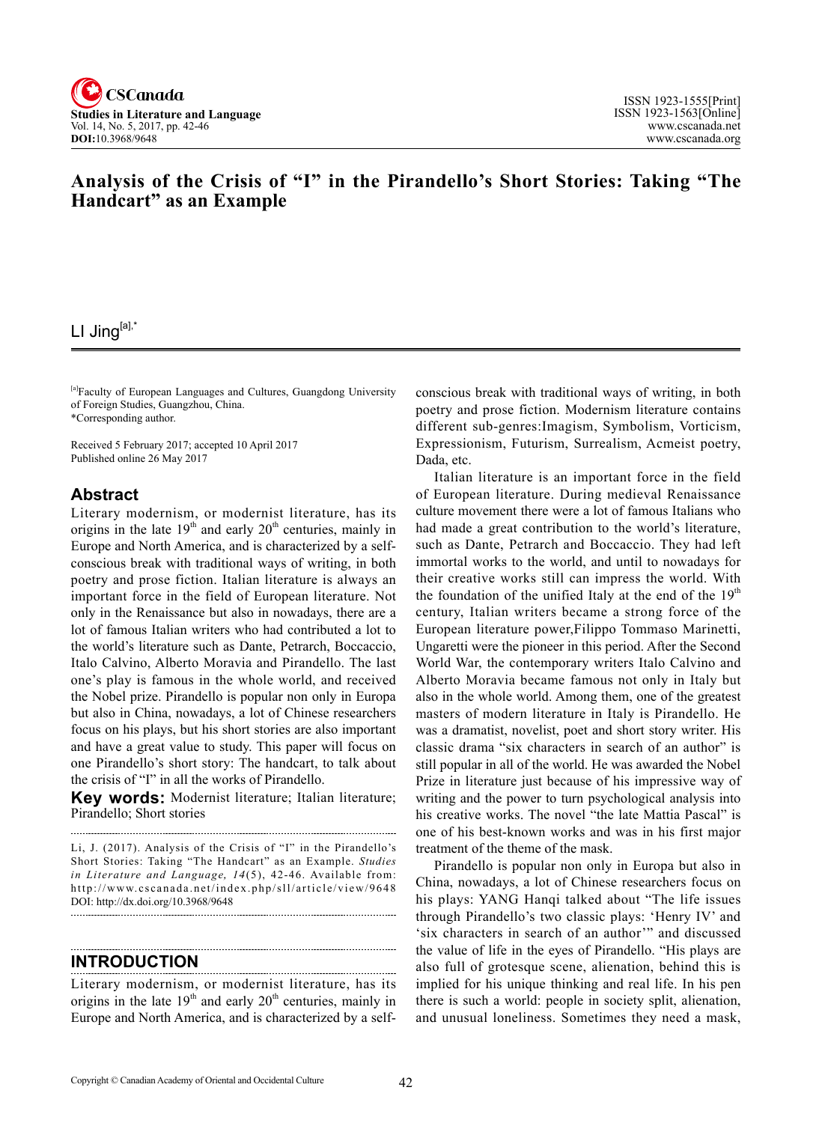

# **Analysis of the Crisis of "I" in the Pirandello's Short Stories: Taking "The Handcart" as an Example**

# LI Jing<sup>[a],\*</sup>

[a]Faculty of European Languages and Cultures, Guangdong University of Foreign Studies, Guangzhou, China. \*Corresponding author.

Received 5 February 2017; accepted 10 April 2017 Published online 26 May 2017

## **Abstract**

Literary modernism, or modernist literature, has its origins in the late  $19<sup>th</sup>$  and early  $20<sup>th</sup>$  centuries, mainly in Europe and North America, and is characterized by a selfconscious break with traditional ways of writing, in both poetry and prose fiction. Italian literature is always an important force in the field of European literature. Not only in the Renaissance but also in nowadays, there are a lot of famous Italian writers who had contributed a lot to the world's literature such as Dante, Petrarch, Boccaccio, Italo Calvino, Alberto Moravia and Pirandello. The last one's play is famous in the whole world, and received the Nobel prize. Pirandello is popular non only in Europa but also in China, nowadays, a lot of Chinese researchers focus on his plays, but his short stories are also important and have a great value to study. This paper will focus on one Pirandello's short story: The handcart, to talk about the crisis of "I" in all the works of Pirandello.

**Key words:** Modernist literature; Italian literature; Pirandello; Short stories 

Li, J. (2017). Analysis of the Crisis of "I" in the Pirandello's Short Stories: Taking "The Handcart" as an Example. *Studies*  in Literature and Language, 14(5), 42-46. Available from: http://www.cscanada.net/index.php/sll/article/view/9648 DOI: http://dx.doi.org/10.3968/9648

#### **INTRODUCTION**

Literary modernism, or modernist literature, has its origins in the late  $19<sup>th</sup>$  and early  $20<sup>th</sup>$  centuries, mainly in Europe and North America, and is characterized by a self-

conscious break with traditional ways of writing, in both poetry and prose fiction. Modernism literature contains different sub-genres:Imagism, Symbolism, Vorticism, Expressionism, Futurism, Surrealism, Acmeist poetry, Dada, etc.

Italian literature is an important force in the field of European literature. During medieval Renaissance culture movement there were a lot of famous Italians who had made a great contribution to the world's literature, such as Dante, Petrarch and Boccaccio. They had left immortal works to the world, and until to nowadays for their creative works still can impress the world. With the foundation of the unified Italy at the end of the  $19<sup>th</sup>$ century, Italian writers became a strong force of the European literature power,Filippo Tommaso Marinetti, Ungaretti were the pioneer in this period. After the Second World War, the contemporary writers Italo Calvino and Alberto Moravia became famous not only in Italy but also in the whole world. Among them, one of the greatest masters of modern literature in Italy is Pirandello. He was a dramatist, novelist, poet and short story writer. His classic drama "six characters in search of an author" is still popular in all of the world. He was awarded the Nobel Prize in literature just because of his impressive way of writing and the power to turn psychological analysis into his creative works. The novel "the late Mattia Pascal" is one of his best-known works and was in his first major treatment of the theme of the mask.

Pirandello is popular non only in Europa but also in China, nowadays, a lot of Chinese researchers focus on his plays: YANG Hanqi talked about "The life issues through Pirandello's two classic plays: 'Henry IV' and 'six characters in search of an author'" and discussed the value of life in the eyes of Pirandello. "His plays are also full of grotesque scene, alienation, behind this is implied for his unique thinking and real life. In his pen there is such a world: people in society split, alienation, and unusual loneliness. Sometimes they need a mask,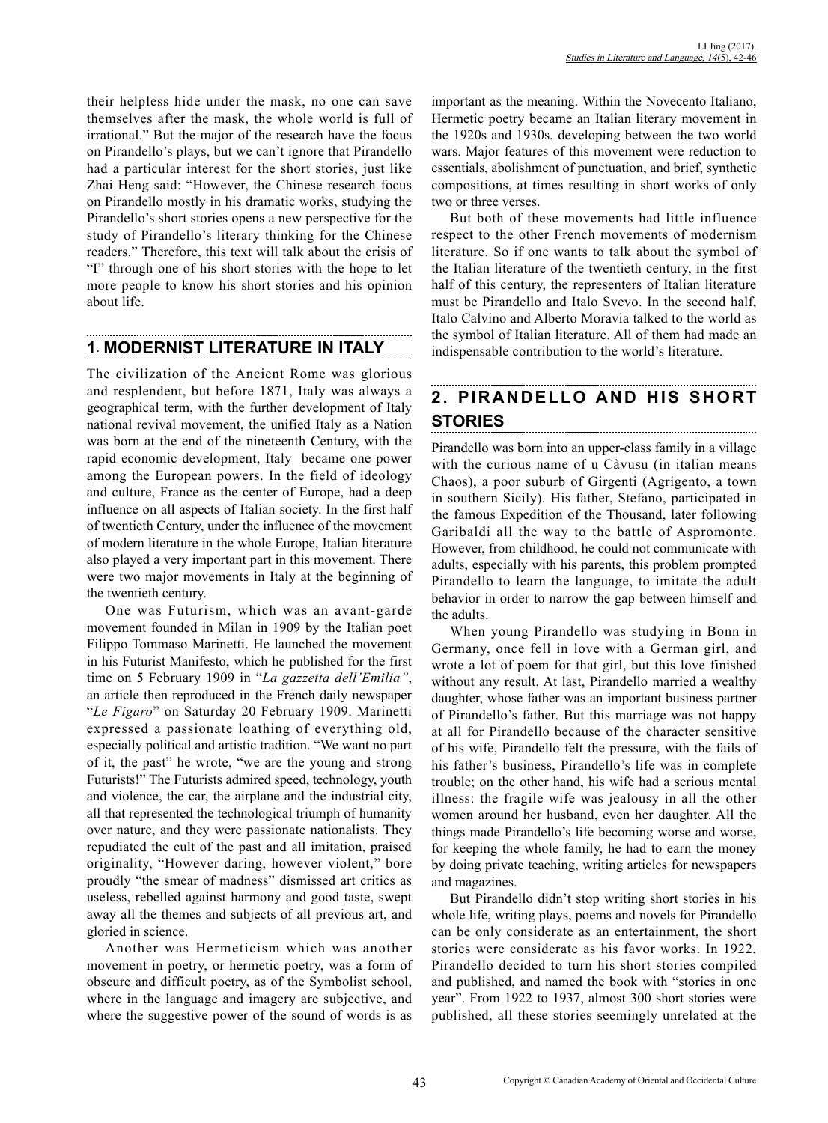their helpless hide under the mask, no one can save themselves after the mask, the whole world is full of irrational." But the major of the research have the focus on Pirandello's plays, but we can't ignore that Pirandello had a particular interest for the short stories, just like Zhai Heng said: "However, the Chinese research focus on Pirandello mostly in his dramatic works, studying the Pirandello's short stories opens a new perspective for the study of Pirandello's literary thinking for the Chinese readers." Therefore, this text will talk about the crisis of "I" through one of his short stories with the hope to let more people to know his short stories and his opinion about life.

# **1**. **MODERNIST LITERATURE IN ITALY**

The civilization of the Ancient Rome was glorious and resplendent, but before 1871, Italy was always a geographical term, with the further development of Italy national revival movement, the unified Italy as a Nation was born at the end of the nineteenth Century, with the rapid economic development, Italy became one power among the European powers. In the field of ideology and culture, France as the center of Europe, had a deep influence on all aspects of Italian society. In the first half of twentieth Century, under the influence of the movement of modern literature in the whole Europe, Italian literature also played a very important part in this movement. There were two major movements in Italy at the beginning of the twentieth century.

One was Futurism, which was an avant-garde movement founded in Milan in 1909 by the Italian poet Filippo Tommaso Marinetti. He launched the movement in his Futurist Manifesto, which he published for the first time on 5 February 1909 in "*La gazzetta dell'Emilia"*, an article then reproduced in the French daily newspaper "*Le Figaro*" on Saturday 20 February 1909. Marinetti expressed a passionate loathing of everything old, especially political and artistic tradition. "We want no part of it, the past" he wrote, "we are the young and strong Futurists!" The Futurists admired speed, technology, youth and violence, the car, the airplane and the industrial city, all that represented the technological triumph of humanity over nature, and they were passionate nationalists. They repudiated the cult of the past and all imitation, praised originality, "However daring, however violent," bore proudly "the smear of madness" dismissed art critics as useless, rebelled against harmony and good taste, swept away all the themes and subjects of all previous art, and gloried in science.

Another was Hermeticism which was another movement in poetry, or hermetic poetry, was a form of obscure and difficult poetry, as of the Symbolist school, where in the language and imagery are subjective, and where the suggestive power of the sound of words is as important as the meaning. Within the Novecento Italiano, Hermetic poetry became an Italian literary movement in the 1920s and 1930s, developing between the two world wars. Major features of this movement were reduction to essentials, abolishment of punctuation, and brief, synthetic compositions, at times resulting in short works of only two or three verses.

But both of these movements had little influence respect to the other French movements of modernism literature. So if one wants to talk about the symbol of the Italian literature of the twentieth century, in the first half of this century, the representers of Italian literature must be Pirandello and Italo Svevo. In the second half, Italo Calvino and Alberto Moravia talked to the world as the symbol of Italian literature. All of them had made an indispensable contribution to the world's literature.

#### **2. PIRANDELLO AND HIS SHORT STORIES**

Pirandello was born into an upper-class family in a village with the curious name of u Càvusu (in italian means Chaos), a poor suburb of Girgenti (Agrigento, a town in southern Sicily). His father, Stefano, participated in the famous Expedition of the Thousand, later following Garibaldi all the way to the battle of Aspromonte. However, from childhood, he could not communicate with adults, especially with his parents, this problem prompted Pirandello to learn the language, to imitate the adult behavior in order to narrow the gap between himself and the adults.

When young Pirandello was studying in Bonn in Germany, once fell in love with a German girl, and wrote a lot of poem for that girl, but this love finished without any result. At last, Pirandello married a wealthy daughter, whose father was an important business partner of Pirandello's father. But this marriage was not happy at all for Pirandello because of the character sensitive of his wife, Pirandello felt the pressure, with the fails of his father's business, Pirandello's life was in complete trouble; on the other hand, his wife had a serious mental illness: the fragile wife was jealousy in all the other women around her husband, even her daughter. All the things made Pirandello's life becoming worse and worse, for keeping the whole family, he had to earn the money by doing private teaching, writing articles for newspapers and magazines.

But Pirandello didn't stop writing short stories in his whole life, writing plays, poems and novels for Pirandello can be only considerate as an entertainment, the short stories were considerate as his favor works. In 1922, Pirandello decided to turn his short stories compiled and published, and named the book with "stories in one year". From 1922 to 1937, almost 300 short stories were published, all these stories seemingly unrelated at the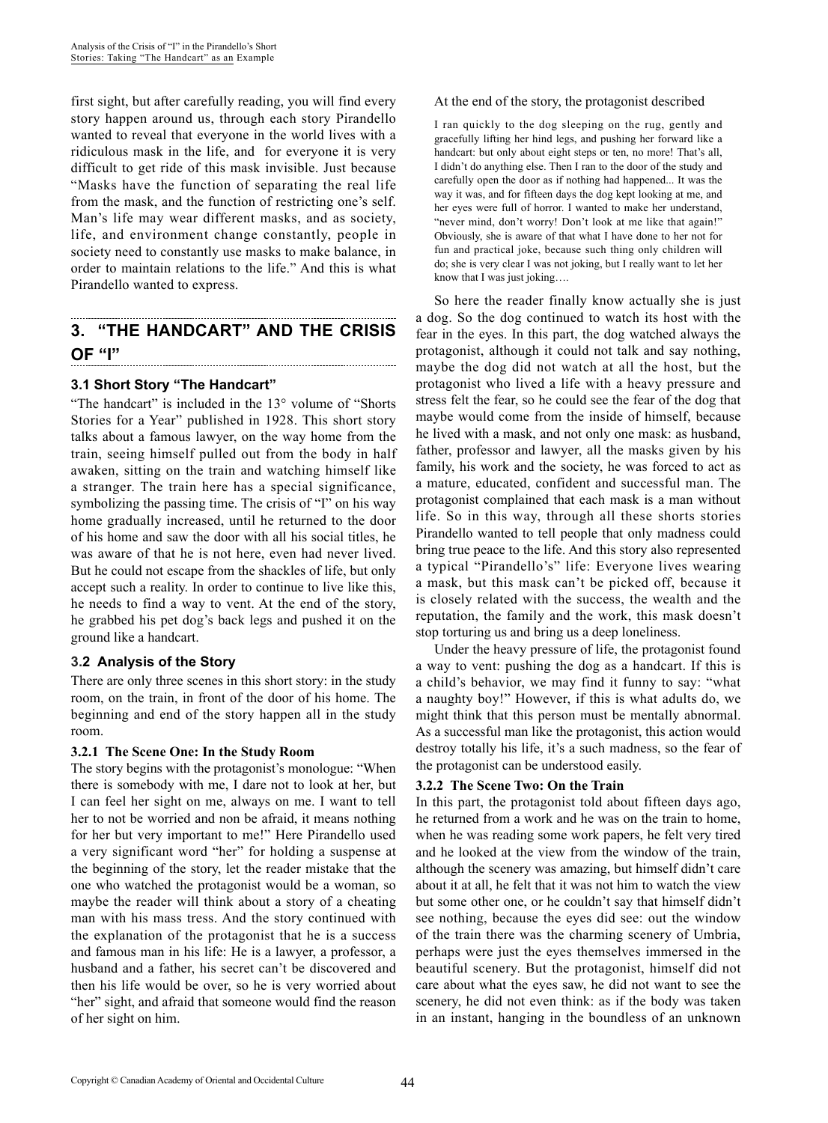first sight, but after carefully reading, you will find every story happen around us, through each story Pirandello wanted to reveal that everyone in the world lives with a ridiculous mask in the life, and for everyone it is very difficult to get ride of this mask invisible. Just because "Masks have the function of separating the real life from the mask, and the function of restricting one's self. Man's life may wear different masks, and as society, life, and environment change constantly, people in society need to constantly use masks to make balance, in order to maintain relations to the life." And this is what Pirandello wanted to express.

#### **3. "THE HANDCART" AND THE CRISIS OF "I"**

### **3.1 Short Story "The Handcart"**

"The handcart" is included in the 13° volume of "Shorts Stories for a Year" published in 1928. This short story talks about a famous lawyer, on the way home from the train, seeing himself pulled out from the body in half awaken, sitting on the train and watching himself like a stranger. The train here has a special significance, symbolizing the passing time. The crisis of "I" on his way home gradually increased, until he returned to the door of his home and saw the door with all his social titles, he was aware of that he is not here, even had never lived. But he could not escape from the shackles of life, but only accept such a reality. In order to continue to live like this, he needs to find a way to vent. At the end of the story, he grabbed his pet dog's back legs and pushed it on the ground like a handcart.

#### **3.2 Analysis of the Story**

There are only three scenes in this short story: in the study room, on the train, in front of the door of his home. The beginning and end of the story happen all in the study room.

#### **3.2.1 The Scene One: In the Study Room**

The story begins with the protagonist's monologue: "When there is somebody with me, I dare not to look at her, but I can feel her sight on me, always on me. I want to tell her to not be worried and non be afraid, it means nothing for her but very important to me!" Here Pirandello used a very significant word "her" for holding a suspense at the beginning of the story, let the reader mistake that the one who watched the protagonist would be a woman, so maybe the reader will think about a story of a cheating man with his mass tress. And the story continued with the explanation of the protagonist that he is a success and famous man in his life: He is a lawyer, a professor, a husband and a father, his secret can't be discovered and then his life would be over, so he is very worried about "her" sight, and afraid that someone would find the reason of her sight on him.

#### At the end of the story, the protagonist described

I ran quickly to the dog sleeping on the rug, gently and gracefully lifting her hind legs, and pushing her forward like a handcart: but only about eight steps or ten, no more! That's all, I didn't do anything else. Then I ran to the door of the study and carefully open the door as if nothing had happened... It was the way it was, and for fifteen days the dog kept looking at me, and her eyes were full of horror. I wanted to make her understand, "never mind, don't worry! Don't look at me like that again!" Obviously, she is aware of that what I have done to her not for fun and practical joke, because such thing only children will do; she is very clear I was not joking, but I really want to let her know that I was just joking….

So here the reader finally know actually she is just a dog. So the dog continued to watch its host with the fear in the eyes. In this part, the dog watched always the protagonist, although it could not talk and say nothing, maybe the dog did not watch at all the host, but the protagonist who lived a life with a heavy pressure and stress felt the fear, so he could see the fear of the dog that maybe would come from the inside of himself, because he lived with a mask, and not only one mask: as husband, father, professor and lawyer, all the masks given by his family, his work and the society, he was forced to act as a mature, educated, confident and successful man. The protagonist complained that each mask is a man without life. So in this way, through all these shorts stories Pirandello wanted to tell people that only madness could bring true peace to the life. And this story also represented a typical "Pirandello's" life: Everyone lives wearing a mask, but this mask can't be picked off, because it is closely related with the success, the wealth and the reputation, the family and the work, this mask doesn't stop torturing us and bring us a deep loneliness.

Under the heavy pressure of life, the protagonist found a way to vent: pushing the dog as a handcart. If this is a child's behavior, we may find it funny to say: "what a naughty boy!" However, if this is what adults do, we might think that this person must be mentally abnormal. As a successful man like the protagonist, this action would destroy totally his life, it's a such madness, so the fear of the protagonist can be understood easily.

#### **3.2.2 The Scene Two: On the Train**

In this part, the protagonist told about fifteen days ago, he returned from a work and he was on the train to home, when he was reading some work papers, he felt very tired and he looked at the view from the window of the train, although the scenery was amazing, but himself didn't care about it at all, he felt that it was not him to watch the view but some other one, or he couldn't say that himself didn't see nothing, because the eyes did see: out the window of the train there was the charming scenery of Umbria, perhaps were just the eyes themselves immersed in the beautiful scenery. But the protagonist, himself did not care about what the eyes saw, he did not want to see the scenery, he did not even think: as if the body was taken in an instant, hanging in the boundless of an unknown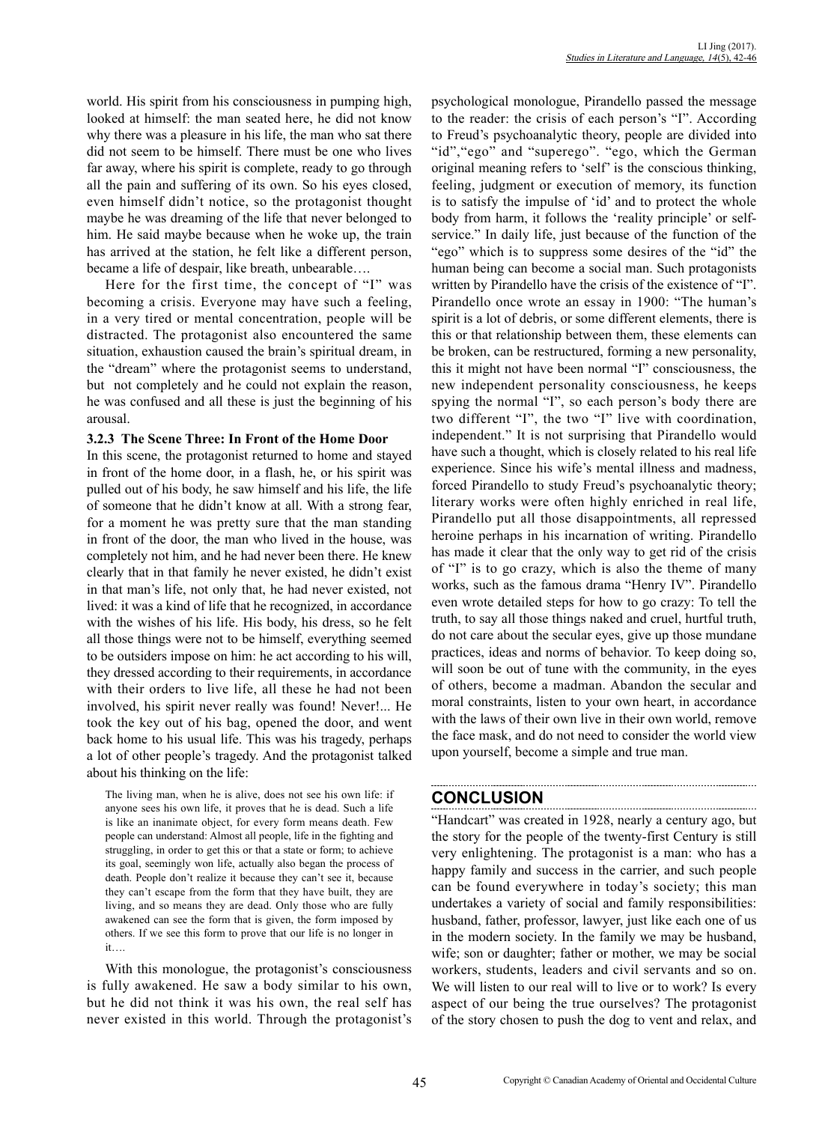world. His spirit from his consciousness in pumping high, looked at himself: the man seated here, he did not know why there was a pleasure in his life, the man who sat there did not seem to be himself. There must be one who lives far away, where his spirit is complete, ready to go through all the pain and suffering of its own. So his eyes closed, even himself didn't notice, so the protagonist thought maybe he was dreaming of the life that never belonged to him. He said maybe because when he woke up, the train has arrived at the station, he felt like a different person, became a life of despair, like breath, unbearable….

Here for the first time, the concept of "I" was becoming a crisis. Everyone may have such a feeling, in a very tired or mental concentration, people will be distracted. The protagonist also encountered the same situation, exhaustion caused the brain's spiritual dream, in the "dream" where the protagonist seems to understand, but not completely and he could not explain the reason, he was confused and all these is just the beginning of his arousal.

#### **3.2.3 The Scene Three: In Front of the Home Door**

In this scene, the protagonist returned to home and stayed in front of the home door, in a flash, he, or his spirit was pulled out of his body, he saw himself and his life, the life of someone that he didn't know at all. With a strong fear, for a moment he was pretty sure that the man standing in front of the door, the man who lived in the house, was completely not him, and he had never been there. He knew clearly that in that family he never existed, he didn't exist in that man's life, not only that, he had never existed, not lived: it was a kind of life that he recognized, in accordance with the wishes of his life. His body, his dress, so he felt all those things were not to be himself, everything seemed to be outsiders impose on him: he act according to his will, they dressed according to their requirements, in accordance with their orders to live life, all these he had not been involved, his spirit never really was found! Never!... He took the key out of his bag, opened the door, and went back home to his usual life. This was his tragedy, perhaps a lot of other people's tragedy. And the protagonist talked about his thinking on the life:

The living man, when he is alive, does not see his own life: if anyone sees his own life, it proves that he is dead. Such a life is like an inanimate object, for every form means death. Few people can understand: Almost all people, life in the fighting and struggling, in order to get this or that a state or form; to achieve its goal, seemingly won life, actually also began the process of death. People don't realize it because they can't see it, because they can't escape from the form that they have built, they are living, and so means they are dead. Only those who are fully awakened can see the form that is given, the form imposed by others. If we see this form to prove that our life is no longer in it….

With this monologue, the protagonist's consciousness is fully awakened. He saw a body similar to his own, but he did not think it was his own, the real self has never existed in this world. Through the protagonist's psychological monologue, Pirandello passed the message to the reader: the crisis of each person's "I". According to Freud's psychoanalytic theory, people are divided into "id","ego" and "superego". "ego, which the German original meaning refers to 'self' is the conscious thinking, feeling, judgment or execution of memory, its function is to satisfy the impulse of 'id' and to protect the whole body from harm, it follows the 'reality principle' or selfservice." In daily life, just because of the function of the "ego" which is to suppress some desires of the "id" the human being can become a social man. Such protagonists written by Pirandello have the crisis of the existence of "I". Pirandello once wrote an essay in 1900: "The human's spirit is a lot of debris, or some different elements, there is this or that relationship between them, these elements can be broken, can be restructured, forming a new personality, this it might not have been normal "I" consciousness, the new independent personality consciousness, he keeps spying the normal "I", so each person's body there are two different "I", the two "I" live with coordination, independent." It is not surprising that Pirandello would have such a thought, which is closely related to his real life experience. Since his wife's mental illness and madness, forced Pirandello to study Freud's psychoanalytic theory; literary works were often highly enriched in real life, Pirandello put all those disappointments, all repressed heroine perhaps in his incarnation of writing. Pirandello has made it clear that the only way to get rid of the crisis of "I" is to go crazy, which is also the theme of many works, such as the famous drama "Henry IV". Pirandello even wrote detailed steps for how to go crazy: To tell the truth, to say all those things naked and cruel, hurtful truth, do not care about the secular eyes, give up those mundane practices, ideas and norms of behavior. To keep doing so, will soon be out of tune with the community, in the eyes of others, become a madman. Abandon the secular and moral constraints, listen to your own heart, in accordance with the laws of their own live in their own world, remove the face mask, and do not need to consider the world view upon yourself, become a simple and true man.

## **CONCLUSION**

"Handcart" was created in 1928, nearly a century ago, but the story for the people of the twenty-first Century is still very enlightening. The protagonist is a man: who has a happy family and success in the carrier, and such people can be found everywhere in today's society; this man undertakes a variety of social and family responsibilities: husband, father, professor, lawyer, just like each one of us in the modern society. In the family we may be husband, wife; son or daughter; father or mother, we may be social workers, students, leaders and civil servants and so on. We will listen to our real will to live or to work? Is every aspect of our being the true ourselves? The protagonist of the story chosen to push the dog to vent and relax, and